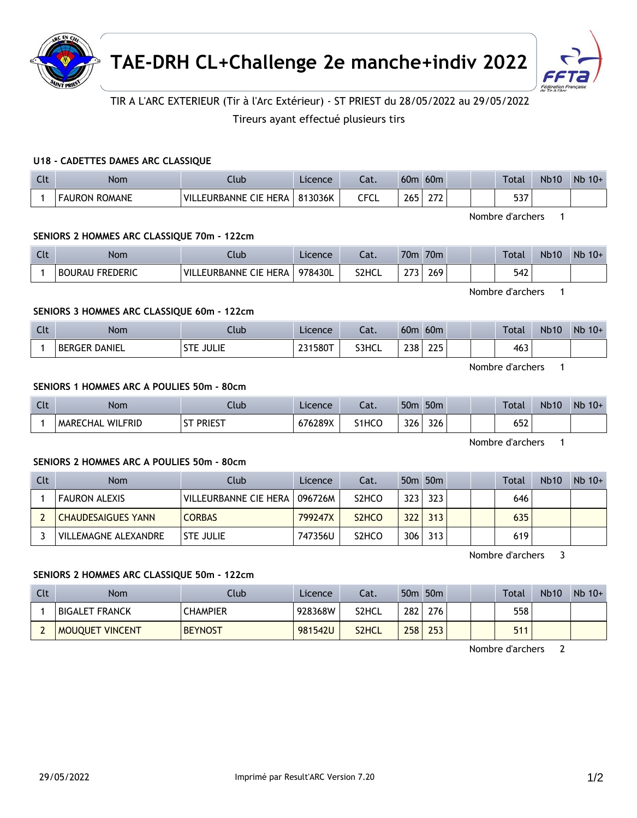



# TIR A L'ARC EXTERIEUR (Tir à l'Arc Extérieur) - ST PRIEST du 28/05/2022 au 29/05/2022

Tireurs ayant effectué plusieurs tirs

### **U18 - CADETTES DAMES ARC CLASSIQUE**

| Clt | <b>Nom</b>           | .lub                         | Licence | cal. | 60 <sub>m</sub> | 60 <sub>m</sub> |  | Total      | <b>Nb10</b> | $Nb$ 10+ |
|-----|----------------------|------------------------------|---------|------|-----------------|-----------------|--|------------|-------------|----------|
|     | <b>FAURON ROMANE</b> | ' VILL<br>LEURBANNE CIE HERA | 813036K | CFCL | 265             | ີ<br>27 L       |  | ヒコフ<br>ונכ |             |          |

Nombre d'archers 1

#### **SENIORS 2 HOMMES ARC CLASSIQUE 70m - 122cm**

| Clt | Nom                       | Jub                               | Licence | $\sim$<br>-al. | 70 <sub>m</sub>      | 70 <sub>m</sub> |  | Total | <b>Nb10</b> | Nb<br>$10+$ |
|-----|---------------------------|-----------------------------------|---------|----------------|----------------------|-----------------|--|-------|-------------|-------------|
|     | FREDERIC<br><b>BOURAU</b> | `HERA<br>VIL.<br>CIE<br>EURBANNE. | 978430L | S2HCL          | $\sim$ $\sim$ $\sim$ | 269             |  | 542   |             |             |

Nombre d'archers 1

## **SENIORS 3 HOMMES ARC CLASSIQUE 60m - 122cm**

| $\Gamma$<br>UU. | <b>Nom</b>   | .lub                     | Licence | Cat.  | 60m                | 60 <sub>m</sub> |  | Total | <b>Nb10</b> | <b>N<sub>b</sub></b><br>$10+$ |
|-----------------|--------------|--------------------------|---------|-------|--------------------|-----------------|--|-------|-------------|-------------------------------|
|                 | DANIEL<br>DE | II II IF<br>$-$<br>JULIL | 231580T | S3HCL | າາດ<br>້<br>$\sim$ | つつに<br>ᅩᅩJ      |  | 463   |             |                               |

Nombre d'archers 1

#### **SENIORS 1 HOMMES ARC A POULIES 50m - 80cm**

| Clt | <b>Nom</b>                        | Club                | Licence | Cat.                           | 50 <sub>m</sub> | 50 <sub>m</sub>      |  | Total                | <b>Nb10</b> | N <sub>b</sub><br>$10+$ |
|-----|-----------------------------------|---------------------|---------|--------------------------------|-----------------|----------------------|--|----------------------|-------------|-------------------------|
|     | <b>WILFRID</b><br><b>MARECHAL</b> | Priest<br>--<br>ا د | 676289X | S <sub>1</sub> HC <sub>O</sub> | 326             | $\mathcal{L}$<br>326 |  | $\sim$ $\sim$<br>65Z |             |                         |

Nombre d'archers 1

#### **SENIORS 2 HOMMES ARC A POULIES 50m - 80cm**

| Clt | <b>Nom</b>                | Club                  | Licence | Cat.                           |     | 50 <sub>m</sub> 50 <sub>m</sub> |  | Total | <b>Nb10</b> | $Nb$ 10+ |
|-----|---------------------------|-----------------------|---------|--------------------------------|-----|---------------------------------|--|-------|-------------|----------|
|     | <b>FAURON ALEXIS</b>      | VILLEURBANNE CIE HERA | 096726M | S <sub>2</sub> HC <sub>O</sub> | 323 | 323                             |  | 646   |             |          |
|     | <b>CHAUDESAIGUES YANN</b> | <b>CORBAS</b>         | 799247X | S <sub>2</sub> H <sub>CO</sub> | 322 | 313'                            |  | 635   |             |          |
|     | VILLEMAGNE ALEXANDRE      | <b>STE JULIE</b>      | 747356U | S <sub>2</sub> HC <sub>O</sub> | 306 | 313                             |  | 619   |             |          |

Nombre d'archers 3

#### **SENIORS 2 HOMMES ARC CLASSIQUE 50m - 122cm**

| Clt | Nom                    | Club            | Licence | Cat.               |     | 50m 50m |  | Total | <b>Nb10</b> | $Nb$ 10+ |
|-----|------------------------|-----------------|---------|--------------------|-----|---------|--|-------|-------------|----------|
|     | BIGALET FRANCK         | <b>CHAMPIER</b> | 928368W | S2HCL              | 282 | 276     |  | 558   |             |          |
|     | <b>MOUQUET VINCENT</b> | <b>BEYNOST</b>  | 981542U | S <sub>2</sub> HCL | 258 | 253     |  | 511   |             |          |

Nombre d'archers 2